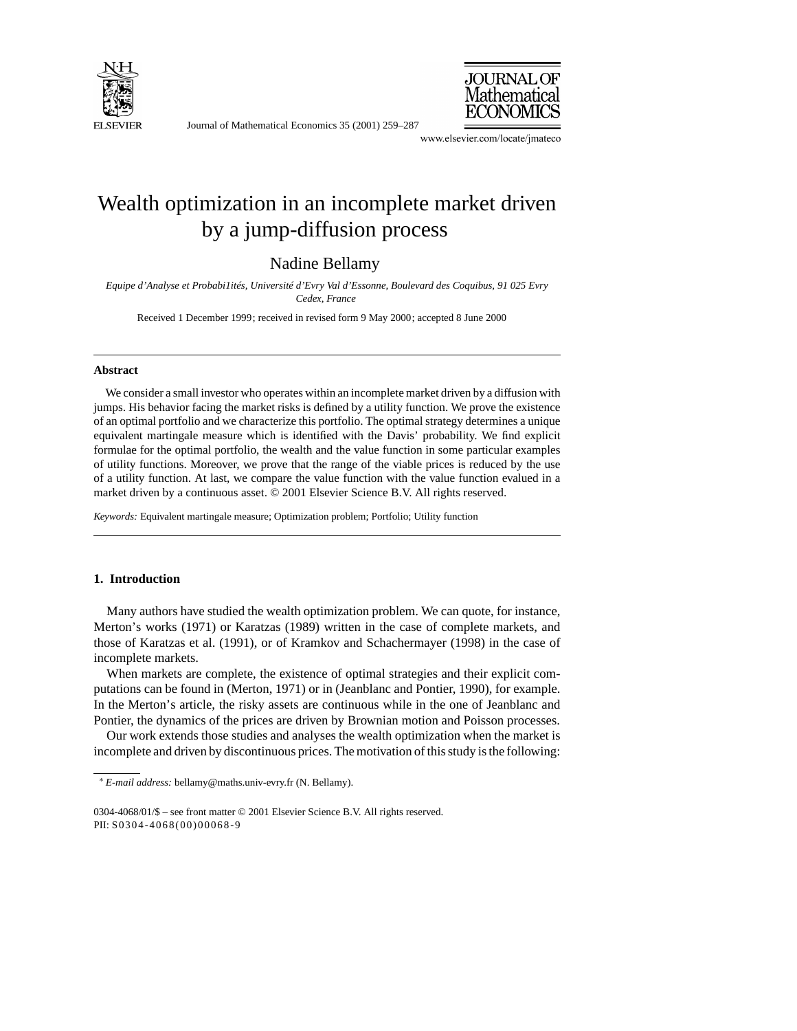

Journal of Mathematical Economics 35 (2001) 259–287



www.elsevier.com/locate/jmateco

## Wealth optimization in an incomplete market driven by a jump-diffusion process

Nadine Bellamy

*Equipe d'Analyse et Probabi1ités, Université d'Evry Val d'Essonne, Boulevard des Coquibus, 91 025 Evry Cedex, France*

Received 1 December 1999; received in revised form 9 May 2000; accepted 8 June 2000

## **Abstract**

We consider a small investor who operates within an incomplete market driven by a diffusion with jumps. His behavior facing the market risks is defined by a utility function. We prove the existence of an optimal portfolio and we characterize this portfolio. The optimal strategy determines a unique equivalent martingale measure which is identified with the Davis' probability. We find explicit formulae for the optimal portfolio, the wealth and the value function in some particular examples of utility functions. Moreover, we prove that the range of the viable prices is reduced by the use of a utility function. At last, we compare the value function with the value function evalued in a market driven by a continuous asset. © 2001 Elsevier Science B.V. All rights reserved.

*Keywords:* Equivalent martingale measure; Optimization problem; Portfolio; Utility function

## **1. Introduction**

Many authors have studied the wealth optimization problem. We can quote, for instance, Merton's works (1971) or Karatzas (1989) written in the case of complete markets, and those of Karatzas et al. (1991), or of Kramkov and Schachermayer (1998) in the case of incomplete markets.

When markets are complete, the existence of optimal strategies and their explicit computations can be found in (Merton, 1971) or in (Jeanblanc and Pontier, 1990), for example. In the Merton's article, the risky assets are continuous while in the one of Jeanblanc and Pontier, the dynamics of the prices are driven by Brownian motion and Poisson processes.

Our work extends those studies and analyses the wealth optimization when the market is incomplete and driven by discontinuous prices. The motivation of this study is the following:

<sup>∗</sup> *E-mail address:* bellamy@maths.univ-evry.fr (N. Bellamy).

<sup>0304-4068/01/\$ –</sup> see front matter © 2001 Elsevier Science B.V. All rights reserved. PII: S0304-4068(00)00068-9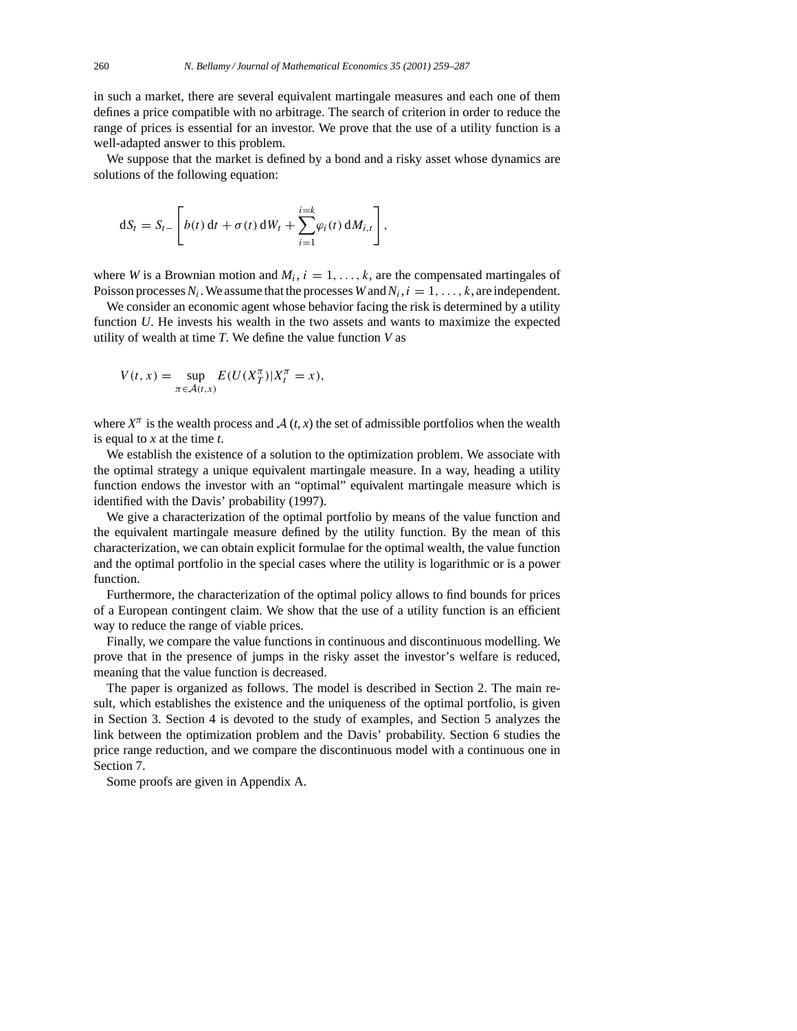in such a market, there are several equivalent martingale measures and each one of them defines a price compatible with no arbitrage. The search of criterion in order to reduce the range of prices is essential for an investor. We prove that the use of a utility function is a well-adapted answer to this problem.

We suppose that the market is defined by a bond and a risky asset whose dynamics are solutions of the following equation:

$$
dS_t = S_{t-}\left[b(t) dt + \sigma(t) dW_t + \sum_{i=1}^{i=k} \varphi_i(t) dM_{i,t}\right],
$$

where *W* is a Brownian motion and  $M_i$ ,  $i = 1, \ldots, k$ , are the compensated martingales of Poisson processes  $N_i$ . We assume that the processes *W* and  $N_i$ ,  $i = 1, \ldots, k$ , are independent.

We consider an economic agent whose behavior facing the risk is determined by a utility function *U*. He invests his wealth in the two assets and wants to maximize the expected utility of wealth at time *T*. We define the value function *V* as

$$
V(t, x) = \sup_{\pi \in \mathcal{A}(t, x)} E(U(X_T^{\pi}) | X_t^{\pi} = x),
$$

where  $X^{\pi}$  is the wealth process and  $A(t, x)$  the set of admissible portfolios when the wealth is equal to *x* at the time *t*.

We establish the existence of a solution to the optimization problem. We associate with the optimal strategy a unique equivalent martingale measure. In a way, heading a utility function endows the investor with an "optimal" equivalent martingale measure which is identified with the Davis' probability (1997).

We give a characterization of the optimal portfolio by means of the value function and the equivalent martingale measure defined by the utility function. By the mean of this characterization, we can obtain explicit formulae for the optimal wealth, the value function and the optimal portfolio in the special cases where the utility is logarithmic or is a power function.

Furthermore, the characterization of the optimal policy allows to find bounds for prices of a European contingent claim. We show that the use of a utility function is an efficient way to reduce the range of viable prices.

Finally, we compare the value functions in continuous and discontinuous modelling. We prove that in the presence of jumps in the risky asset the investor's welfare is reduced, meaning that the value function is decreased.

The paper is organized as follows. The model is described in Section 2. The main result, which establishes the existence and the uniqueness of the optimal portfolio, is given in Section 3. Section 4 is devoted to the study of examples, and Section 5 analyzes the link between the optimization problem and the Davis' probability. Section 6 studies the price range reduction, and we compare the discontinuous model with a continuous one in Section 7.

Some proofs are given in Appendix A.